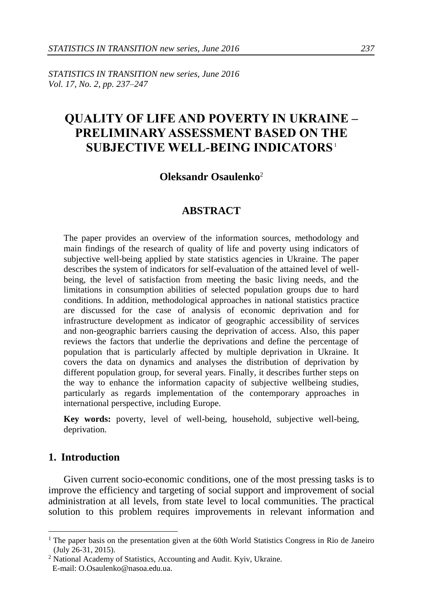*STATISTICS IN TRANSITION new series, June 2016 Vol. 17, No. 2, pp. 237–247*

# **QUALITY OF LIFE AND POVERTY IN UKRAINE – PRELIMINARY ASSESSMENT BASED ON THE SUBJECTIVE WELL-BEING INDICATORS**<sup>1</sup>

#### **Oleksandr Osaulenko**<sup>2</sup>

#### **ABSTRACT**

The paper provides an overview of the information sources, methodology and main findings of the research of quality of life and poverty using indicators of subjective well-being applied by state statistics agencies in Ukraine. The paper describes the system of indicators for self-evaluation of the attained level of wellbeing, the level of satisfaction from meeting the basic living needs, and the limitations in consumption abilities of selected population groups due to hard conditions. In addition, methodological approaches in national statistics practice are discussed for the case of analysis of economic deprivation and for infrastructure development as indicator of geographic accessibility of services and non-geographic barriers causing the deprivation of access. Also, this paper reviews the factors that underlie the deprivations and define the percentage of population that is particularly affected by multiple deprivation in Ukraine. It covers the data on dynamics and analyses the distribution of deprivation by different population group, for several years. Finally, it describes further steps on the way to enhance the information capacity of subjective wellbeing studies, particularly as regards implementation of the contemporary approaches in international perspective, including Europe.

**Key words:** poverty, level of well-being, household, subjective well-being, deprivation.

# **1. Introduction**

-

Given current socio-economic conditions, one of the most pressing tasks is to improve the efficiency and targeting of social support and improvement of social administration at all levels, from state level to local communities. The practical solution to this problem requires improvements in relevant information and

<sup>&</sup>lt;sup>1</sup> The paper basis on the presentation given at the 60th World Statistics Congress in Rio de Janeiro (July 26-31, 2015).

<sup>2</sup> National Academy of Statistics, Accounting and Audit. Kyiv, Ukraine. E-mail: O.Osaulenko@nasoa.edu.ua.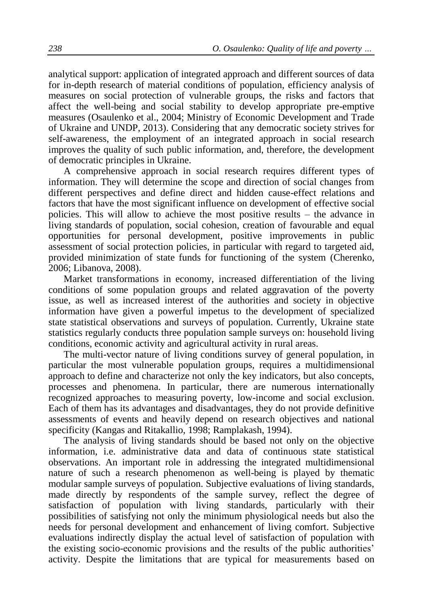analytical support: application of integrated approach and different sources of data for in-depth research of material conditions of population, efficiency analysis of measures on social protection of vulnerable groups, the risks and factors that affect the well-being and social stability to develop appropriate pre-emptive measures (Osaulenko et al., 2004; Ministry of Economic Development and Trade of Ukraine and UNDP, 2013). Considering that any democratic society strives for self-awareness, the employment of an integrated approach in social research improves the quality of such public information, and, therefore, the development of democratic principles in Ukraine.

A comprehensive approach in social research requires different types of information. They will determine the scope and direction of social changes from different perspectives and define direct and hidden cause-effect relations and factors that have the most significant influence on development of effective social policies. This will allow to achieve the most positive results – the advance in living standards of population, social cohesion, creation of favourable and equal opportunities for personal development, positive improvements in public assessment of social protection policies, in particular with regard to targeted aid, provided minimization of state funds for functioning of the system (Cherenko, 2006; Libanova, 2008).

Market transformations in economy, increased differentiation of the living conditions of some population groups and related aggravation of the poverty issue, as well as increased interest of the authorities and society in objective information have given a powerful impetus to the development of specialized state statistical observations and surveys of population. Currently, Ukraine state statistics regularly conducts three population sample surveys on: household living conditions, economic activity and agricultural activity in rural areas.

The multi-vector nature of living conditions survey of general population, in particular the most vulnerable population groups, requires a multidimensional approach to define and characterize not only the key indicators, but also concepts, processes and phenomena. In particular, there are numerous internationally recognized approaches to measuring poverty, low-income and social exclusion. Each of them has its advantages and disadvantages, they do not provide definitive assessments of events and heavily depend on research objectives and national specificity (Kangas and Ritakallio, 1998; Ramplakash, 1994).

The analysis of living standards should be based not only on the objective information, i.e. administrative data and data of continuous state statistical observations. An important role in addressing the integrated multidimensional nature of such a research phenomenon as well-being is played by thematic modular sample surveys of population. Subjective evaluations of living standards, made directly by respondents of the sample survey, reflect the degree of satisfaction of population with living standards, particularly with their possibilities of satisfying not only the minimum physiological needs but also the needs for personal development and enhancement of living comfort. Subjective evaluations indirectly display the actual level of satisfaction of population with the existing socio-economic provisions and the results of the public authorities' activity. Despite the limitations that are typical for measurements based on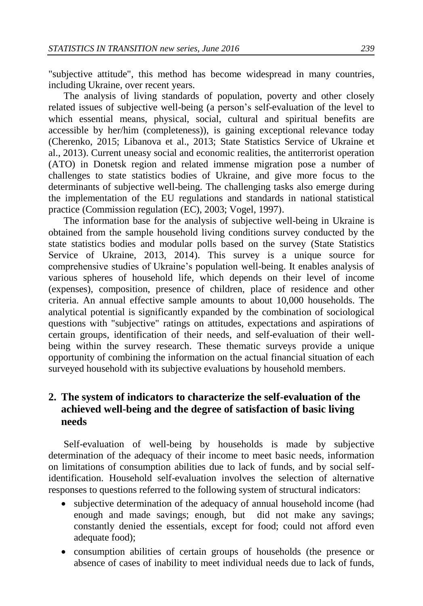"subjective attitude", this method has become widespread in many countries, including Ukraine, over recent years.

The analysis of living standards of population, poverty and other closely related issues of subjective well-being (a person's self-evaluation of the level to which essential means, physical, social, cultural and spiritual benefits are accessible by her/him (completeness)), is gaining exceptional relevance today (Cherenko, 2015; Libanova et al., 2013; State Statistics Service of Ukraine et al., 2013). Current uneasy social and economic realities, the antiterrorist operation (ATO) in Donetsk region and related immense migration pose a number of challenges to state statistics bodies of Ukraine, and give more focus to the determinants of subjective well-being. The challenging tasks also emerge during the implementation of the EU regulations and standards in national statistical practice (Commission regulation (EC), 2003; Vogel, 1997).

The information base for the analysis of subjective well-being in Ukraine is obtained from the sample household living conditions survey conducted by the state statistics bodies and modular polls based on the survey (State Statistics Service of Ukraine, 2013, 2014). This survey is a unique source for comprehensive studies of Ukraine's population well-being. It enables analysis of various spheres of household life, which depends on their level of income (expenses), composition, presence of children, place of residence and other criteria. An annual effective sample amounts to about 10,000 households. The analytical potential is significantly expanded by the combination of sociological questions with "subjective" ratings on attitudes, expectations and aspirations of certain groups, identification of their needs, and self-evaluation of their wellbeing within the survey research. These thematic surveys provide a unique opportunity of combining the information on the actual financial situation of each surveyed household with its subjective evaluations by household members.

# **2. The system of indicators to characterize the self-evaluation of the achieved well-being and the degree of satisfaction of basic living needs**

Self-evaluation of well-being by households is made by subjective determination of the adequacy of their income to meet basic needs, information on limitations of consumption abilities due to lack of funds, and by social selfidentification. Household self-evaluation involves the selection of alternative responses to questions referred to the following system of structural indicators:

- subjective determination of the adequacy of annual household income (had enough and made savings; enough, but did not make any savings; constantly denied the essentials, except for food; could not afford even adequate food);
- consumption abilities of certain groups of households (the presence or absence of cases of inability to meet individual needs due to lack of funds,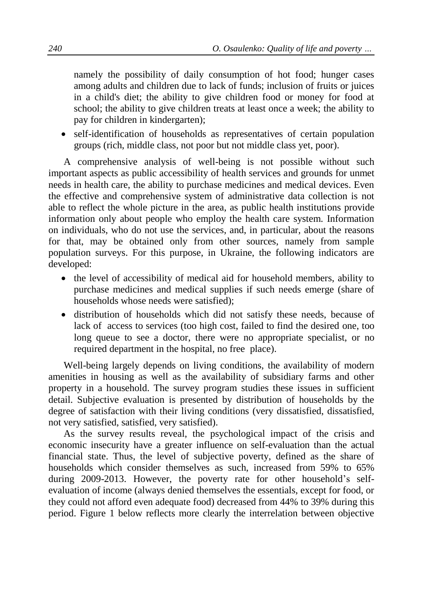namely the possibility of daily consumption of hot food; hunger cases among adults and children due to lack of funds; inclusion of fruits or juices in a child's diet; the ability to give children food or money for food at school; the ability to give children treats at least once a week; the ability to pay for children in kindergarten);

 self-identification of households as representatives of certain population groups (rich, middle class, not poor but not middle class yet, poor).

A comprehensive analysis of well-being is not possible without such important aspects as public accessibility of health services and grounds for unmet needs in health care, the ability to purchase medicines and medical devices. Even the effective and comprehensive system of administrative data collection is not able to reflect the whole picture in the area, as public health institutions provide information only about people who employ the health care system. Information on individuals, who do not use the services, and, in particular, about the reasons for that, may be obtained only from other sources, namely from sample population surveys. For this purpose, in Ukraine, the following indicators are developed:

- the level of accessibility of medical aid for household members, ability to purchase medicines and medical supplies if such needs emerge (share of households whose needs were satisfied);
- distribution of households which did not satisfy these needs, because of lack of access to services (too high cost, failed to find the desired one, too long queue to see a doctor, there were no appropriate specialist, or no required department in the hospital, no free place).

Well-being largely depends on living conditions, the availability of modern amenities in housing as well as the availability of subsidiary farms and other property in a household. The survey program studies these issues in sufficient detail. Subjective evaluation is presented by distribution of households by the degree of satisfaction with their living conditions (very dissatisfied, dissatisfied, not very satisfied, satisfied, very satisfied).

As the survey results reveal, the psychological impact of the crisis and economic insecurity have a greater influence on self-evaluation than the actual financial state. Thus, the level of subjective poverty, defined as the share of households which consider themselves as such, increased from 59% to 65% during 2009-2013. However, the poverty rate for other household's selfevaluation of income (always denied themselves the essentials, except for food, or they could not afford even adequate food) decreased from 44% to 39% during this period. Figure 1 below reflects more clearly the interrelation between objective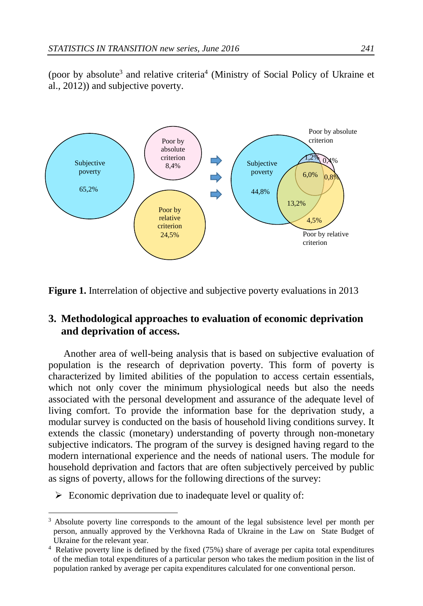(poor by absolute<sup>3</sup> and relative criteria<sup>4</sup> (Ministry of Social Policy of Ukraine et al., 2012)) and subjective poverty.



**Figure 1.** Interrelation of objective and subjective poverty evaluations in 2013

# **3. Methodological approaches to evaluation of economic deprivation and deprivation of access.**

Another area of well-being analysis that is based on subjective evaluation of population is the research of deprivation poverty. This form of poverty is characterized by limited abilities of the population to access certain essentials, which not only cover the minimum physiological needs but also the needs associated with the personal development and assurance of the adequate level of living comfort. To provide the information base for the deprivation study, a modular survey is conducted on the basis of household living conditions survey. It extends the classic (monetary) understanding of poverty through non-monetary subjective indicators. The program of the survey is designed having regard to the modern international experience and the needs of national users. The module for household deprivation and factors that are often subjectively perceived by public as signs of poverty, allows for the following directions of the survey:

 $\triangleright$  Economic deprivation due to inadequate level or quality of:

-

<sup>&</sup>lt;sup>3</sup> Absolute poverty line corresponds to the amount of the legal subsistence level per month per person, annually approved by the Verkhovna Rada of Ukraine in the Law on State Budget of Ukraine for the relevant year.

<sup>4</sup> Relative poverty line is defined by the fixed (75%) share of average per capita total expenditures of the median total expenditures of a particular person who takes the medium position in the list of population ranked by average per capita expenditures calculated for one conventional person.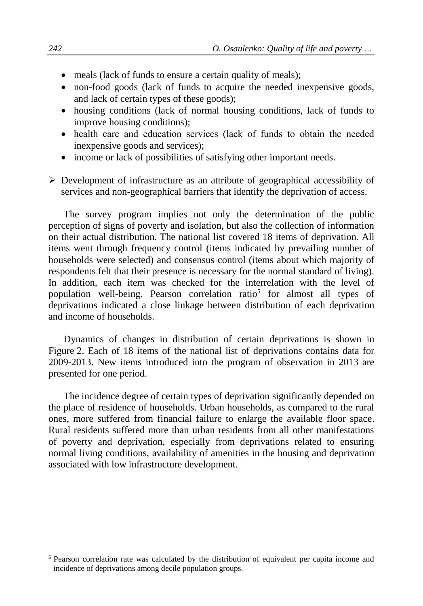- meals (lack of funds to ensure a certain quality of meals);
- non-food goods (lack of funds to acquire the needed inexpensive goods, and lack of certain types of these goods);
- housing conditions (lack of normal housing conditions, lack of funds to improve housing conditions);
- health сare and education services (lack of funds to obtain the needed inexpensive goods and services);
- income or lack of possibilities of satisfying other important needs.

 $\triangleright$  Development of infrastructure as an attribute of geographical accessibility of services and non-geographical barriers that identify the deprivation of access.

The survey program implies not only the determination of the public perception of signs of poverty and isolation, but also the collection of information on their actual distribution. The national list covered 18 items of deprivation. All items went through frequency control (items indicated by prevailing number of households were selected) and consensus control (items about which majority of respondents felt that their presence is necessary for the normal standard of living). In addition, each item was checked for the interrelation with the level of population well-being. Pearson correlation ratio<sup>5</sup> for almost all types of deprivations indicated a close linkage between distribution of each deprivation and income of households.

Dynamics of changes in distribution of certain deprivations is shown in Figure 2. Each of 18 items of the national list of deprivations contains data for 2009-2013. New items introduced into the program of observation in 2013 are presented for one period.

The incidence degree of certain types of deprivation significantly depended on the place of residence of households. Urban households, as compared to the rural ones, more suffered from financial failure to enlarge the available floor space. Rural residents suffered more than urban residents from all other manifestations of poverty and deprivation, especially from deprivations related to ensuring normal living conditions, availability of amenities in the housing and deprivation associated with low infrastructure development.

-

<sup>5</sup> Pearson correlation rate was calculated by the distribution of equivalent per capita income and incidence of deprivations among decile population groups.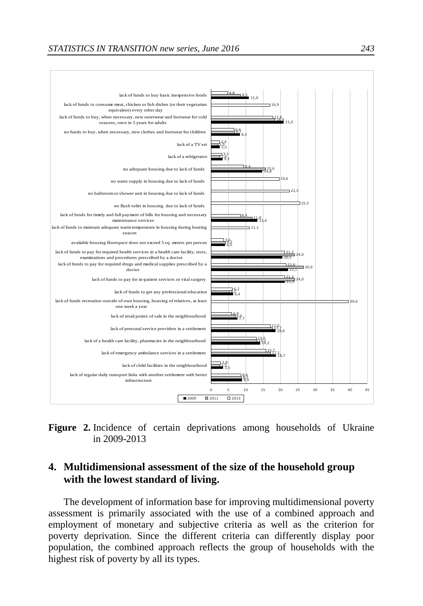

**Figure 2.** Incidence of certain deprivations among households of Ukraine in 2009-2013

# **4. Multidimensional assessment of the size of the household group with the lowest standard of living.**

The development of information base for improving multidimensional poverty assessment is primarily associated with the use of a combined approach and employment of monetary and subjective criteria as well as the criterion for poverty deprivation. Since the different criteria can differently display poor population, the combined approach reflects the group of households with the highest risk of poverty by all its types.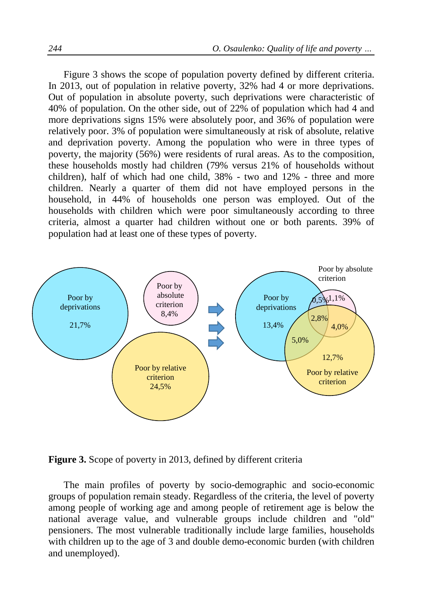Figure 3 shows the scope of population poverty defined by different criteria. In 2013, out of population in relative poverty, 32% had 4 or more deprivations. Out of population in absolute poverty, such deprivations were characteristic of 40% of population. On the other side, out of 22% of population which had 4 and more deprivations signs 15% were absolutely poor, and 36% of population were relatively poor. 3% of population were simultaneously at risk of absolute, relative and deprivation poverty. Among the population who were in three types of poverty, the majority (56%) were residents of rural areas. As to the composition, these households mostly had children (79% versus 21% of households without children), half of which had one child, 38% - two and 12% - three and more children. Nearly a quarter of them did not have employed persons in the household, in 44% of households one person was employed. Out of the households with children which were poor simultaneously according to three criteria, almost a quarter had children without one or both parents. 39% of population had at least one of these types of poverty.



**Figure 3.** Scope of poverty in 2013, defined by different criteria

The main profiles of poverty by socio-demographic and socio-economic groups of population remain steady. Regardless of the criteria, the level of poverty among people of working age and among people of retirement age is below the national average value, and vulnerable groups include children and "old" pensioners. The most vulnerable traditionally include large families, households with children up to the age of 3 and double demo-economic burden (with children and unemployed).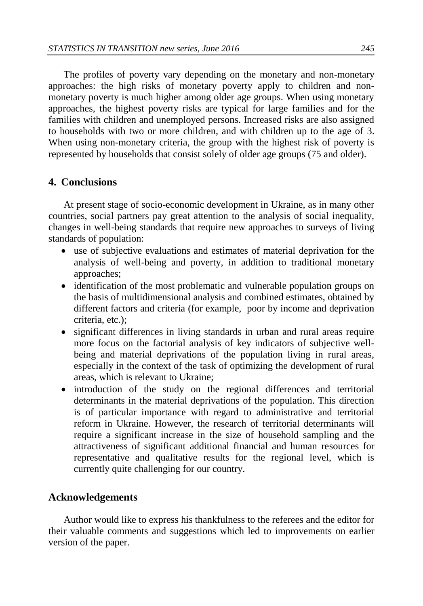The profiles of poverty vary depending on the monetary and non-monetary approaches: the high risks of monetary poverty apply to children and nonmonetary poverty is much higher among older age groups. When using monetary approaches, the highest poverty risks are typical for large families and for the families with children and unemployed persons. Increased risks are also assigned to households with two or more children, and with children up to the age of 3. When using non-monetary criteria, the group with the highest risk of poverty is represented by households that consist solely of older age groups (75 and older).

# **4. Conclusions**

At present stage of socio-economic development in Ukraine, as in many other countries, social partners pay great attention to the analysis of social inequality, changes in well-being standards that require new approaches to surveys of living standards of population:

- use of subjective evaluations and estimates of material deprivation for the analysis of well-being and poverty, in addition to traditional monetary approaches;
- identification of the most problematic and vulnerable population groups on the basis of multidimensional analysis and combined estimates, obtained by different factors and criteria (for example, poor by income and deprivation criteria, etc.);
- significant differences in living standards in urban and rural areas require more focus on the factorial analysis of key indicators of subjective wellbeing and material deprivations of the population living in rural areas, especially in the context of the task of optimizing the development of rural areas, which is relevant to Ukraine;
- introduction of the study on the regional differences and territorial determinants in the material deprivations of the population. This direction is of particular importance with regard to administrative and territorial reform in Ukraine. However, the research of territorial determinants will require a significant increase in the size of household sampling and the attractiveness of significant additional financial and human resources for representative and qualitative results for the regional level, which is currently quite challenging for our country.

#### **Acknowledgements**

Author would like to express his thankfulness to the referees and the editor for their valuable comments and suggestions which led to improvements on earlier version of the paper.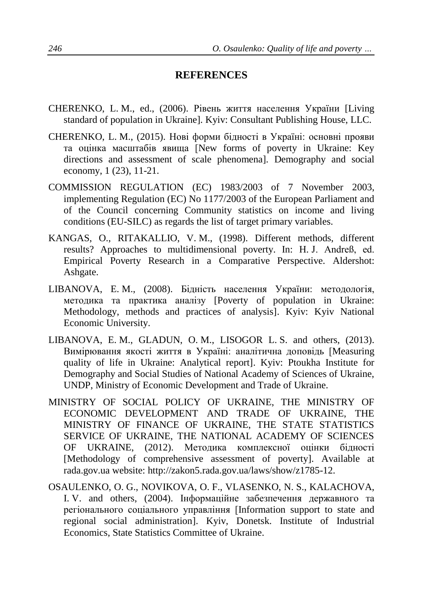# **REFERENCES**

- CHERENKO, L. M., ed., (2006). Рівень життя населення України [Living standard of population in Ukraine]. Kyiv: Consultant Publishing House, LLC.
- CHERENKO, L. M., (2015). Нові форми бідності в Україні: основні прояви та оцінка масштабів явища [New forms of poverty in Ukraine: Key directions and assessment of scale phenomena]. Demography and social economy, 1 (23), 11-21.
- COMMISSION REGULATION (EC) 1983/2003 of 7 November 2003, implementing Regulation (EC) No 1177/2003 of the European Parliament and of the Council concerning Community statistics on income and living conditions (EU-SILC) as regards the list of target primary variables.
- KANGAS, O., RITAKALLIO, V. M., (1998). Different methods, different results? Approaches to multidimensional poverty. In: H. J. Andreß, ed. Empirical Poverty Research in a Comparative Perspective. Aldershot: Ashgate.
- LIBANOVA, E. M., (2008). Бідність населення України: методологія, методика та практика аналізу [Poverty of population in Ukraine: Methodology, methods and practices of analysis]. Kyiv: Kyiv National Economic University.
- LIBANOVA, E. M., GLADUN, O. M., LISOGOR L. S. and others, (2013). Вимірювання якості життя в Україні: аналітична доповідь [Measuring quality of life in Ukraine: Analytical report]. Kyiv: Ptoukha Institute for Demography and Social Studies of National Academy of Sciences of Ukraine, UNDP, Ministry of Economic Development and Trade of Ukraine.
- MINISTRY OF SOCIAL POLICY OF UKRAINE, THE MINISTRY OF ECONOMIC DEVELOPMENT AND TRADE OF UKRAINE, THE MINISTRY OF FINANCE OF UKRAINE, THE STATE STATISTICS SERVICE OF UKRAINE, THE NATIONAL ACADEMY OF SCIENCES OF UKRAINE, (2012). Методика комплексної оцінки бідності [Methodology of comprehensive assessment of poverty]. Available at rada.gov.ua website: [http://zakon5.rada.gov.ua/laws/show/z1785-12.](http://zakon5.rada.gov.ua/laws/show/z1785-12)
- OSAULENKO, O. G., NOVIKOVA, O. F., VLASENKO, N. S., KALACHOVA, I. V. and others, (2004). Інформаційне забезпечення державного та регіонального соціального управління [Information support to state and regional social administration]. Kyiv, Donetsk. Institute of Industrial Economics, State Statistics Committee of Ukraine.